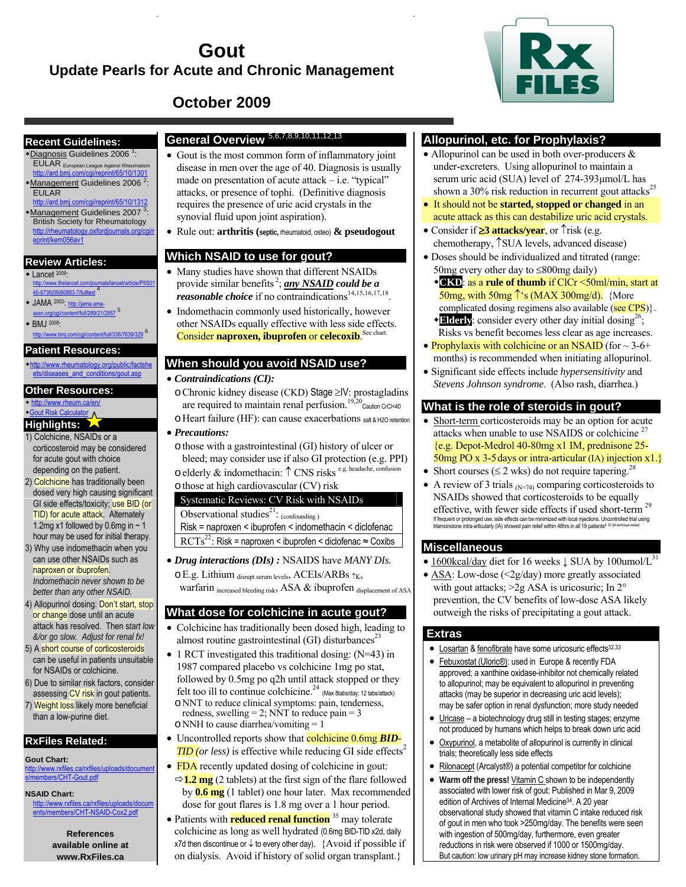# **Gout Update Pearls for Acute and Chronic Management**



# **October 2009**

#### **Recent Guidelines:**  \*Diagnosis Guidelines 2006<sup>1</sup>:

EULAR

eprint/kem056av1

**Review Articles:** 

40-6736(09)60883-7/fulltext 4 JAMA 2003: http://jama.ama-assn.org/cgi/content/full/289/21/2857<sup>5</sup>

**Patient Resources:**  http://www.rheumatology.org/public/factshe ets/diseases\_and\_conditions/gout.asp

**Other Resources:**  http://www.rheum.ca/en/ Gout Risk Calculator **Highlights:**  1) Colchicine, NSAIDs or a corticosteroid may be considered for acute gout with choice depending on the patient. 2) Colchicine has traditionally been

BMJ 2008:

EULAR European League Against Rheumatism http://ard.bmj.com/cgi/reprint/65/10/1301

http://ard.bmj.com/cgi/reprint/65/10/1312

British Society for Rheumatology http://rheumatology.oxfordjournals.org/cg

Lancet 2009: http://www.thelancet.com/journals/lancet/article/PIIS01

om/cqi/content/full/336/7639/329<sup>6</sup>

- **General Overview** 5,6,7,8,9,10,11,12,<sup>13</sup>
- \*Management Guidelines 2006<sup>2</sup>: \*Management Guidelines 2007<sup>3</sup>: • Gout is the most common form of inflammatory joint disease in men over the age of 40. Diagnosis is usually made on presentation of acute attack  $-$  i.e. "typical" attacks, or presence of tophi. (Definitive diagnosis requires the presence of uric acid crystals in the synovial fluid upon joint aspiration).
	- Rule out: **arthritis (septic,** rheumatoid, osteo) **& pseudogout**

#### **Which NSAID to use for gout?**

- Many studies have shown that different NSAIDs provide similar benefits 2 ; *any NSAID could be a reasonable choice* if no contraindications<sup>14,15,16,17,18</sup>
- Indomethacin commonly used historically, however other NSAIDs equally effective with less side effects. Consider **naproxen, ibuprofen** or **celecoxib**. See chart.

### **When should you avoid NSAID use?**

- *Contraindications (CI):*
- oChronic kidney disease (CKD) Stage ≥IV: prostagladins are required to maintain renal perfusion.<sup>19,20</sup> $\frac{1}{2}$ Caution CrCl<40 oHeart failure (HF): can cause exacerbations salt & H2O retention
- *Precautions:*
	- othose with a gastrointestinal (GI) history of ulcer or bleed; may consider use if also GI protection (e.g. PPI) oelderly & indomethacin: ↑ CNS risks e.g. headache, confusion othose at high cardiovascular (CV) risk

## Systematic Reviews: CV Risk with NSAIDs

Observational studies<sup>21</sup>:  $_{(confounding)}$ Risk = naproxen < ibuprofen < indomethacin < diclofenac  $\mathrm{RCTs}^{22}$ : Risk = naproxen < ibuprofen < diclofenac  $\approx$  Coxibs

- *Drug interactions (DIs) :* NSAIDS have *MANY DIs.* 
	- oE.g. Lithium disrupt serum levels, ACEIs/ARBs ↑K, warfarin increased bleeding risk, ASA & ibuprofen displacement of ASA

### **What dose for colchicine in acute gout?**

- Colchicine has traditionally been dosed high, leading to almost routine gastrointestinal (GI) disturbances<sup>23</sup>
- 1 RCT investigated this traditional dosing: (N=43) in 1987 compared placebo vs colchicine 1mg po stat, followed by 0.5mg po q2h until attack stopped or they felt too ill to continue colchicine.<sup>24</sup> (Max 8tabs/day; 12 tabs/attack) oNNT to reduce clinical symptoms: pain, tenderness, redness, swelling = 2; NNT to reduce pain = 3
	- $\circ$  NNH to cause diarrhea/vomiting = 1
- Uncontrolled reports show that **colchicine 0.6mg** *BID*- $TID$  (or less) is effective while reducing GI side effects<sup>2</sup>
- FDA recently updated dosing of colchicine in gout:  $\Rightarrow$  **1.2 mg** (2 tablets) at the first sign of the flare followed by **0.6 mg** (1 tablet) one hour later. Max recommended dose for gout flares is 1.8 mg over a 1 hour period.
- Patients with **reduced renal function** <sup>35</sup> may tolerate colchicine as long as well hydrated (0.6mg BID-TID x2d, daily x7d then discontinue or ↓ to every other day). {Avoid if possible if on dialysis. Avoid if history of solid organ transplant.}

### **Allopurinol, etc. for Prophylaxis?**

- Allopurinol can be used in both over-producers  $\&$ under-excreters. Using allopurinol to maintain a serum uric acid (SUA) level of 274-393μmol/L has shown a  $30\%$  risk reduction in recurrent gout attacks<sup>25</sup>
- It should not be **started, stopped or changed** in an acute attack as this can destabilize uric acid crystals.
- Consider if ≥**3 attacks/year**, or ↑risk (e.g. chemotherapy, ↑SUA levels, advanced disease)
- Doses should be individualized and titrated (range: 50mg every other day to ≤800mg daily)
	- **CKD**: as a **rule of thumb** if ClCr <50ml/min, start at 50mg, with 50mg  $\hat{\ }$ 's (MAX 300mg/d). {More complicated dosing regimens also available ( $\frac{\text{see CPS}}{\text{else} \text{CPS}}$ ).
	- **Elderly**: consider every other day initial dosing<sup>26</sup>; Risks vs benefit becomes less clear as age increases.
- Prophylaxis with colchicine or an NSAID (for  $\sim$  3-6+ months) is recommended when initiating allopurinol.
- Significant side effects include *hypersensitivity* and *Stevens Johnson syndrome*. (Also rash, diarrhea.)

#### **What is the role of steroids in gout?**

- Short-term corticosteroids may be an option for acute attacks when unable to use NSAIDS or colchicine<sup>27</sup> {e.g. Depot-Medrol 40-80mg x1 IM, prednisone 25- 50mg PO x 3-5days or intra-articular (IA) injection x1.}
- Short courses ( $\leq$  2 wks) do not require tapering.<sup>28</sup>
- A review of 3 trials  $_{N=74}$  comparing corticosteroids to NSAIDs showed that corticosteroids to be equally effective, with fewer side effects if used short-term<sup>29</sup> If frequent or prolonged use, side effects can be minimized with local injections. Uncontrolled trial using triamcinolone intra-articularly (IA) showed pain relief within 48hrs in all 19 patients6, 30 [IA technique review]

#### **Miscellaneous**

- 1600kcal/day diet for 16 weeks  $\downarrow$  SUA by 100umol/L<sup>31</sup>
- ASA: Low-dose (<2g/day) more greatly associated with gout attacks; >2g ASA is uricosuric; In 2° prevention, the CV benefits of low-dose ASA likely outweigh the risks of precipitating a gout attack.

#### **Extras**

- Losartan & fenofibrate have some uricosuric effects<sup>32,33</sup>
- Febuxostat (Uloric®): used in Europe & recently FDA approved; a xanthine oxidase-inhibitor not chemically related to allopurinol; may be equivalent to allopurinol in preventing attacks (may be superior in decreasing uric acid levels); may be safer option in renal dysfunction; more study needed
- Uricase a biotechnology drug still in testing stages; enzyme not produced by humans which helps to break down uric acid
- Oxypurinol, a metabolite of allopurinol is currently in clinical trials; theoretically less side effects
- Rilonacept (Arcalyst®) a potential competitor for colchicine
- **Warm off the press!** Vitamin C shown to be independently associated with lower risk of gout: Published in Mar 9, 2009 edition of Archives of Internal Medicine34. A 20 year observational study showed that vitamin C intake reduced risk of gout in men who took >250mg/day. The benefits were seen with ingestion of 500mg/day, furthermore, even greater reductions in risk were observed if 1000 or 1500mg/day. But caution: low urinary pH may increase kidney stone formation.

dosed very high causing significant GI side effects/toxicity; use BID (or TID) for acute attack. Alternately 1.2mg x1 followed by 0.6mg in  $\sim$  1 hour may be used for initial therapy. 3) Why use indomethacin when you can use other NSAIDs such as

- naproxen or ibuprofen. *Indomethacin never shown to be better than any other NSAID.*
- 4) Allopurinol dosing: Don't start, stop or change dose until an acute attack has resolved. Then s*tart low &/or go slow. Adjust for renal fx!*
- 5) A short course of corticosteroids can be useful in patients unsuitable for NSAIDs or colchicine.
- 6) Due to similar risk factors, consider assessing CV risk in gout patients.
- 7) Weight loss likely more beneficial than a low-purine diet.

# **RxFiles Related:**

**Gout Chart:** p://www.rxfiles.ca/rxfiles/uploads/docume embers/CHT-Gout.pdf

#### **NSAID Chart:**

http://www.rxfile ers/CHT-NSAID-Cox2.pdf

> **References available online at www.RxFiles.ca**